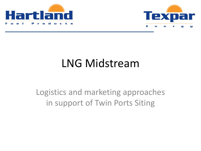



## LNG Midstream

Logistics and marketing approaches in support of Twin Ports Siting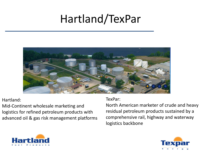## Hartland/TexPar



### Hartland:

Mid-Continent wholesale marketing and logistics for refined petroleum products with advanced oil & gas risk management platforms

### TexPar:

North American marketer of crude and heavy residual petroleum products sustained by a comprehensive rail, highway and waterway logistics backbone



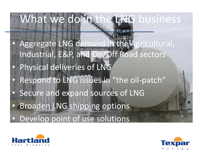# What we do in the LNG business

Aggregate LNG demand in the Agricultural, Industrial, E&P, and On/Off Road sectors Physical deliveries of LNG • Respond to LNG issues in "the oil-patch" Secure and expand sources of LNG • Broaden LNG shipping options • Develop point of use solutions



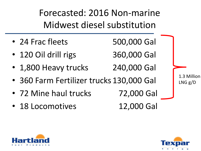Forecasted: 2016 Non-marine Midwest diesel substitution

- 24 Frac fleets 500,000 Gal
- 120 Oil drill rigs 360,000 Gal
- 1,800 Heavy trucks 240,000 Gal
- 360 Farm Fertilizer trucks 130,000 Gal
- 72 Mine haul trucks 72,000 Gal
- 18 Locomotives 12,000 Gal

1.3 Million LNG g/D



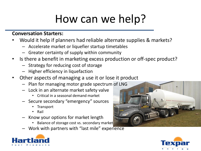## How can we help?

### **Conversation Starters:**

- Would it help if planners had reliable alternate supplies & markets?
	- Accelerate market or liquefier startup timetables
	- Greater certainty of supply within community
- Is there a benefit in marketing excess production or off-spec product?
	- Strategy for reducing cost of storage
	- Higher efficiency in liquefaction
- Other aspects of managing a use it or lose it product
	- Plan for managing motor grade spectrum of LNG
	- Lock in an alternate market safety valve
		- Critical in a seasonal demand market
	- Secure secondary "emergency" sources
		- Transport
		- Rail
	- Know your options for market length
		- Balance of storage cost vs. secondary market
	- Work with partners with "last mile" experience